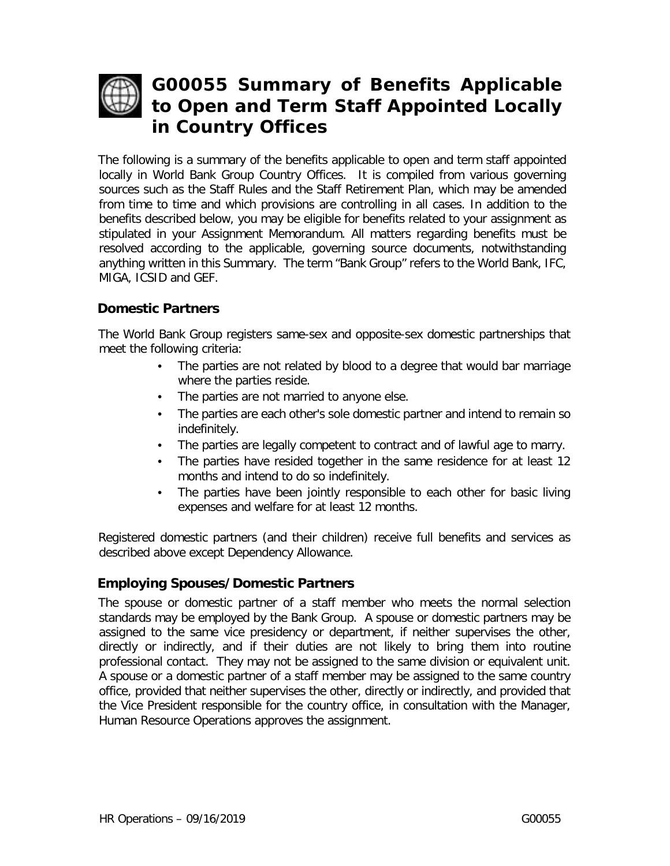

# **G00055 Summary of Benefits Applicable to Open and Term Staff Appointed Locally in Country Offices**

The following is a summary of the benefits applicable to open and term staff appointed locally in World Bank Group Country Offices. It is compiled from various governing sources such as the Staff Rules and the Staff Retirement Plan, which may be amended from time to time and which provisions are controlling in all cases. In addition to the benefits described below, you may be eligible for benefits related to your assignment as stipulated in your Assignment Memorandum. All matters regarding benefits must be resolved according to the applicable, governing source documents, notwithstanding anything written in this Summary. The term "Bank Group" refers to the World Bank, IFC, MIGA, ICSID and GEF.

# **Domestic Partners**

The World Bank Group registers same-sex and opposite-sex domestic partnerships that meet the following criteria:

- The parties are not related by blood to a degree that would bar marriage where the parties reside.
- The parties are not married to anyone else.
- The parties are each other's sole domestic partner and intend to remain so indefinitely.
- The parties are legally competent to contract and of lawful age to marry.
- The parties have resided together in the same residence for at least 12 months and intend to do so indefinitely.
- The parties have been jointly responsible to each other for basic living expenses and welfare for at least 12 months.

Registered domestic partners (and their children) receive full benefits and services as described above except Dependency Allowance.

#### **Employing Spouses/Domestic Partners**

The spouse or domestic partner of a staff member who meets the normal selection standards may be employed by the Bank Group. A spouse or domestic partners may be assigned to the same vice presidency or department, if neither supervises the other, directly or indirectly, and if their duties are not likely to bring them into routine professional contact. They may not be assigned to the same division or equivalent unit. A spouse or a domestic partner of a staff member may be assigned to the same country office, provided that neither supervises the other, directly or indirectly, and provided that the Vice President responsible for the country office, in consultation with the Manager, Human Resource Operations approves the assignment.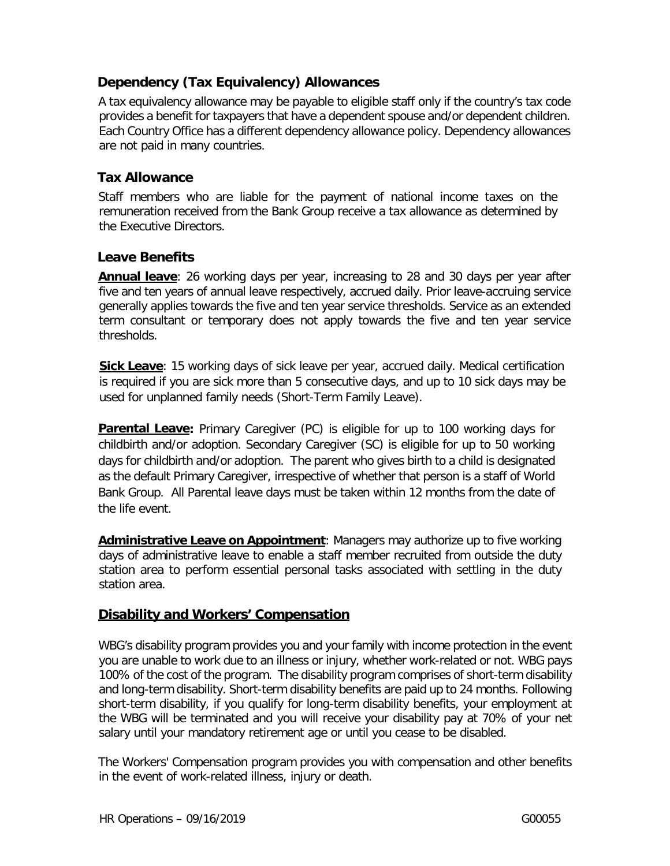# **Dependency (Tax Equivalency) Allowances**

A tax equivalency allowance may be payable to eligible staff only if the country's tax code provides a benefit for taxpayers that have a dependent spouse and/or dependent children. Each Country Office has a different dependency allowance policy. Dependency allowances are not paid in many countries.

#### **Tax Allowance**

Staff members who are liable for the payment of national income taxes on the remuneration received from the Bank Group receive a tax allowance as determined by the Executive Directors.

#### **Leave Benefits**

**Annual leave**: 26 working days per year, increasing to 28 and 30 days per year after five and ten years of annual leave respectively, accrued daily. Prior leave-accruing service generally applies towards the five and ten year service thresholds. Service as an extended term consultant or temporary does not apply towards the five and ten year service thresholds.

**Sick Leave**: 15 working days of sick leave per year, accrued daily. Medical certification is required if you are sick more than 5 consecutive days, and up to 10 sick days may be used for unplanned family needs (Short-Term Family Leave).

**Parental Leave:** Primary Caregiver (PC) is eligible for up to 100 working days for childbirth and/or adoption. Secondary Caregiver (SC) is eligible for up to 50 working days for childbirth and/or adoption. The parent who gives birth to a child is designated as the default Primary Caregiver, irrespective of whether that person is a staff of World Bank Group. All Parental leave days must be taken within 12 months from the date of the life event.

**Administrative Leave on Appointment**: Managers may authorize up to five working days of administrative leave to enable a staff member recruited from outside the duty station area to perform essential personal tasks associated with settling in the duty station area.

#### **Disability and Workers' Compensation**

WBG's disability program provides you and your family with income protection in the event you are unable to work due to an illness or injury, whether work-related or not. WBG pays 100% of the cost of the program. The disability program comprises of short-term disability and long-term disability. Short-term disability benefits are paid up to 24 months. Following short-term disability, if you qualify for long-term disability benefits, your employment at the WBG will be terminated and you will receive your disability pay at 70% of your net salary until your mandatory retirement age or until you cease to be disabled.

The Workers' Compensation program provides you with compensation and other benefits in the event of work-related illness, injury or death.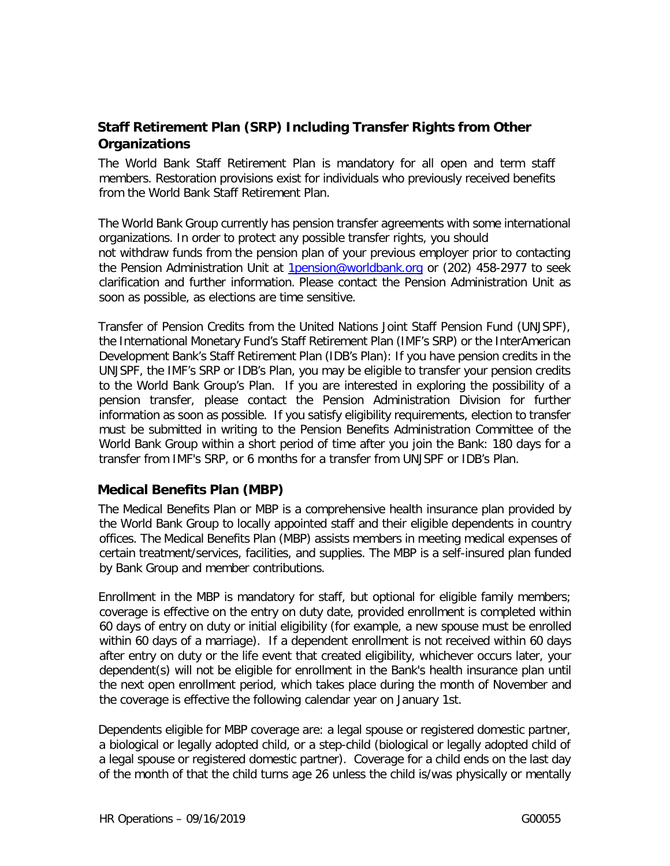# **Staff Retirement Plan (SRP) Including Transfer Rights from Other Organizations**

The World Bank Staff Retirement Plan is mandatory for all open and term staff members. Restoration provisions exist for individuals who previously received benefits from the World Bank Staff Retirement Plan.

The World Bank Group currently has pension transfer agreements with some international organizations. In order to protect any possible transfer rights, you should not withdraw funds from the pension plan of your previous employer prior to contacting the Pension Administration Unit at 1pension@worldbank.org or (202) 458-2977 to seek clarification and further information. Please contact the Pension Administration Unit as soon as possible, as elections are time sensitive.

Transfer of Pension Credits from the United Nations Joint Staff Pension Fund (UNJSPF), the International Monetary Fund's Staff Retirement Plan (IMF's SRP) or the InterAmerican Development Bank's Staff Retirement Plan (IDB's Plan): If you have pension credits in the UNJSPF, the IMF's SRP or IDB's Plan, you may be eligible to transfer your pension credits to the World Bank Group's Plan. If you are interested in exploring the possibility of a pension transfer, please contact the Pension Administration Division for further information as soon as possible. If you satisfy eligibility requirements, election to transfer must be submitted in writing to the Pension Benefits Administration Committee of the World Bank Group within a short period of time after you join the Bank: 180 days for a transfer from IMF's SRP, or 6 months for a transfer from UNJSPF or IDB's Plan.

#### **Medical Benefits Plan (MBP)**

The Medical Benefits Plan or MBP is a comprehensive health insurance plan provided by the World Bank Group to locally appointed staff and their eligible dependents in country offices. The Medical Benefits Plan (MBP) assists members in meeting medical expenses of certain treatment/services, facilities, and supplies. The MBP is a self-insured plan funded by Bank Group and member contributions.

Enrollment in the MBP is mandatory for staff, but optional for eligible family members; coverage is effective on the entry on duty date, provided enrollment is completed within 60 days of entry on duty or initial eligibility (for example, a new spouse must be enrolled within 60 days of a marriage). If a dependent enrollment is not received within 60 days after entry on duty or the life event that created eligibility, whichever occurs later, your dependent(s) will not be eligible for enrollment in the Bank's health insurance plan until the next open enrollment period, which takes place during the month of November and the coverage is effective the following calendar year on January 1st.

Dependents eligible for MBP coverage are: a legal spouse or registered domestic partner, a biological or legally adopted child, or a step-child (biological or legally adopted child of a legal spouse or registered domestic partner). Coverage for a child ends on the last day of the month of that the child turns age 26 unless the child is/was physically or mentally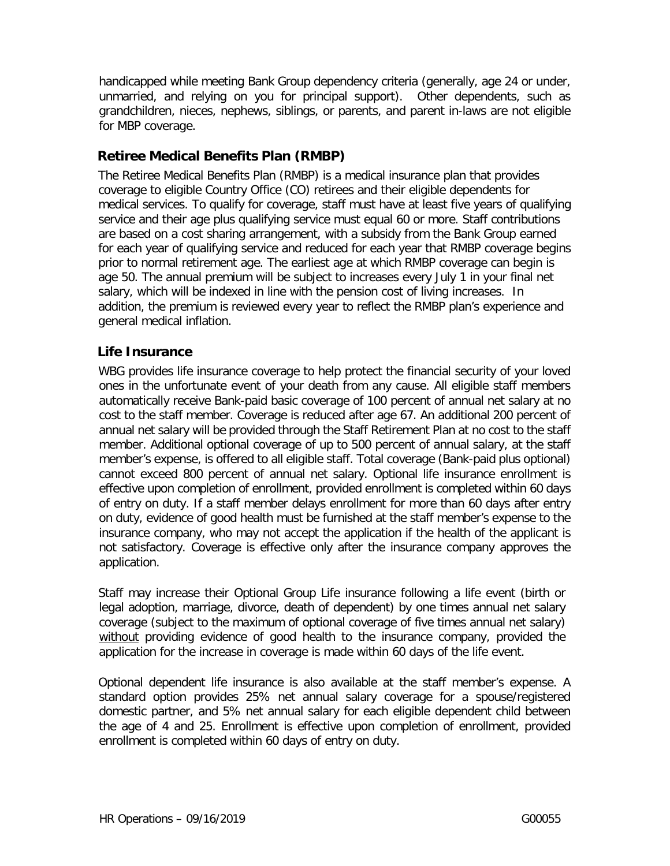handicapped while meeting Bank Group dependency criteria (generally, age 24 or under, unmarried, and relying on you for principal support). Other dependents, such as grandchildren, nieces, nephews, siblings, or parents, and parent in-laws are not eligible for MBP coverage.

## **Retiree Medical Benefits Plan (RMBP)**

The Retiree Medical Benefits Plan (RMBP) is a medical insurance plan that provides coverage to eligible Country Office (CO) retirees and their eligible dependents for medical services. To qualify for coverage, staff must have at least five years of qualifying service and their age plus qualifying service must equal 60 or more. Staff contributions are based on a cost sharing arrangement, with a subsidy from the Bank Group earned for each year of qualifying service and reduced for each year that RMBP coverage begins prior to normal retirement age. The earliest age at which RMBP coverage can begin is age 50. The annual premium will be subject to increases every July 1 in your final net salary, which will be indexed in line with the pension cost of living increases. In addition, the premium is reviewed every year to reflect the RMBP plan's experience and general medical inflation.

# **Life Insurance**

WBG provides life insurance coverage to help protect the financial security of your loved ones in the unfortunate event of your death from any cause. All eligible staff members automatically receive Bank-paid basic coverage of 100 percent of annual net salary at no cost to the staff member. Coverage is reduced after age 67. An additional 200 percent of annual net salary will be provided through the Staff Retirement Plan at no cost to the staff member. Additional optional coverage of up to 500 percent of annual salary, at the staff member's expense, is offered to all eligible staff. Total coverage (Bank-paid plus optional) cannot exceed 800 percent of annual net salary. Optional life insurance enrollment is effective upon completion of enrollment, provided enrollment is completed within 60 days of entry on duty. If a staff member delays enrollment for more than 60 days after entry on duty, evidence of good health must be furnished at the staff member's expense to the insurance company, who may not accept the application if the health of the applicant is not satisfactory. Coverage is effective only after the insurance company approves the application.

Staff may increase their Optional Group Life insurance following a life event (birth or legal adoption, marriage, divorce, death of dependent) by one times annual net salary coverage (subject to the maximum of optional coverage of five times annual net salary) without providing evidence of good health to the insurance company, provided the application for the increase in coverage is made within 60 days of the life event.

Optional dependent life insurance is also available at the staff member's expense. A standard option provides 25% net annual salary coverage for a spouse/registered domestic partner, and 5% net annual salary for each eligible dependent child between the age of 4 and 25. Enrollment is effective upon completion of enrollment, provided enrollment is completed within 60 days of entry on duty.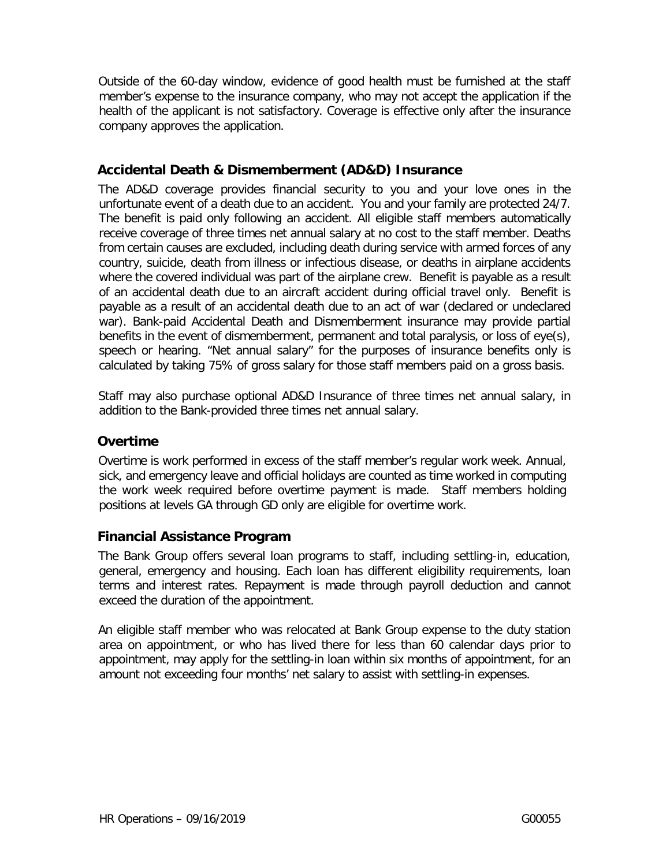Outside of the 60-day window, evidence of good health must be furnished at the staff member's expense to the insurance company, who may not accept the application if the health of the applicant is not satisfactory. Coverage is effective only after the insurance company approves the application.

# **Accidental Death & Dismemberment (AD&D) Insurance**

The AD&D coverage provides financial security to you and your love ones in the unfortunate event of a death due to an accident. You and your family are protected 24/7. The benefit is paid only following an accident. All eligible staff members automatically receive coverage of three times net annual salary at no cost to the staff member. Deaths from certain causes are excluded, including death during service with armed forces of any country, suicide, death from illness or infectious disease, or deaths in airplane accidents where the covered individual was part of the airplane crew. Benefit is payable as a result of an accidental death due to an aircraft accident during official travel only. Benefit is payable as a result of an accidental death due to an act of war (declared or undeclared war). Bank-paid Accidental Death and Dismemberment insurance may provide partial benefits in the event of dismemberment, permanent and total paralysis, or loss of eye(s), speech or hearing. "Net annual salary" for the purposes of insurance benefits only is calculated by taking 75% of gross salary for those staff members paid on a gross basis.

Staff may also purchase optional AD&D Insurance of three times net annual salary, in addition to the Bank-provided three times net annual salary.

# **Overtime**

Overtime is work performed in excess of the staff member's regular work week. Annual, sick, and emergency leave and official holidays are counted as time worked in computing the work week required before overtime payment is made. Staff members holding positions at levels GA through GD only are eligible for overtime work.

# **Financial Assistance Program**

The Bank Group offers several loan programs to staff, including settling-in, education, general, emergency and housing. Each loan has different eligibility requirements, loan terms and interest rates. Repayment is made through payroll deduction and cannot exceed the duration of the appointment.

An eligible staff member who was relocated at Bank Group expense to the duty station area on appointment, or who has lived there for less than 60 calendar days prior to appointment, may apply for the settling-in loan within six months of appointment, for an amount not exceeding four months' net salary to assist with settling-in expenses.